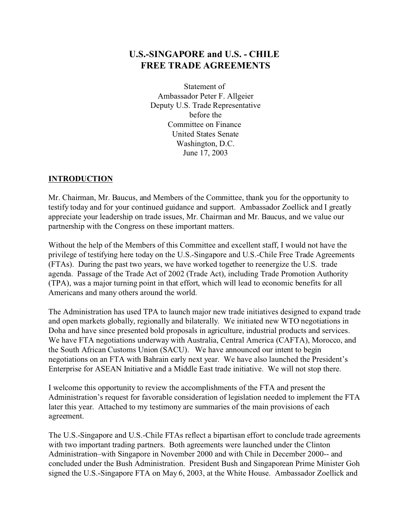# **U.S.-SINGAPORE and U.S. - CHILE FREE TRADE AGREEMENTS**

Statement of Ambassador Peter F. Allgeier Deputy U.S. Trade Representative before the Committee on Finance United States Senate Washington, D.C. June 17, 2003

# **INTRODUCTION**

Mr. Chairman, Mr. Baucus, and Members of the Committee, thank you for the opportunity to testify today and for your continued guidance and support. Ambassador Zoellick and I greatly appreciate your leadership on trade issues, Mr. Chairman and Mr. Baucus, and we value our partnership with the Congress on these important matters.

Without the help of the Members of this Committee and excellent staff, I would not have the privilege of testifying here today on the U.S.-Singapore and U.S.-Chile Free Trade Agreements (FTAs). During the past two years, we have worked together to reenergize the U.S. trade agenda. Passage of the Trade Act of 2002 (Trade Act), including Trade Promotion Authority (TPA), was a major turning point in that effort, which will lead to economic benefits for all Americans and many others around the world.

The Administration has used TPA to launch major new trade initiatives designed to expand trade and open markets globally, regionally and bilaterally. We initiated new WTO negotiations in Doha and have since presented bold proposals in agriculture, industrial products and services. We have FTA negotiations underway with Australia, Central America (CAFTA), Morocco, and the South African Customs Union (SACU). We have announced our intent to begin negotiations on an FTA with Bahrain early next year. We have also launched the President's Enterprise for ASEAN Initiative and a Middle East trade initiative. We will not stop there.

I welcome this opportunity to review the accomplishments of the FTA and present the Administration's request for favorable consideration of legislation needed to implement the FTA later this year. Attached to my testimony are summaries of the main provisions of each agreement.

The U.S.-Singapore and U.S.-Chile FTAs reflect a bipartisan effort to conclude trade agreements with two important trading partners. Both agreements were launched under the Clinton Administration–with Singapore in November 2000 and with Chile in December 2000-- and concluded under the Bush Administration. President Bush and Singaporean Prime Minister Goh signed the U.S.-Singapore FTA on May 6, 2003, at the White House. Ambassador Zoellick and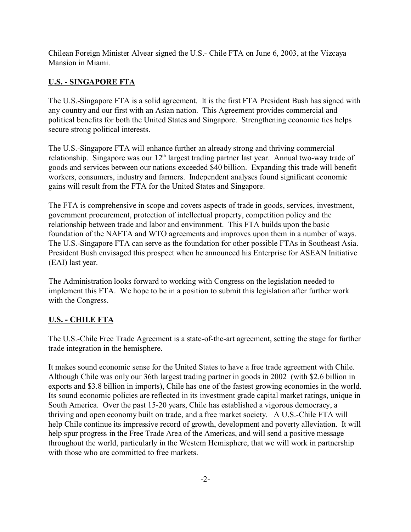Chilean Foreign Minister Alvear signed the U.S.- Chile FTA on June 6, 2003, at the Vizcaya Mansion in Miami.

# **U.S. - SINGAPORE FTA**

The U.S.-Singapore FTA is a solid agreement. It is the first FTA President Bush has signed with any country and our first with an Asian nation. This Agreement provides commercial and political benefits for both the United States and Singapore. Strengthening economic ties helps secure strong political interests.

The U.S.-Singapore FTA will enhance further an already strong and thriving commercial relationship. Singapore was our  $12<sup>th</sup>$  largest trading partner last year. Annual two-way trade of goods and services between our nations exceeded \$40 billion. Expanding this trade will benefit workers, consumers, industry and farmers. Independent analyses found significant economic gains will result from the FTA for the United States and Singapore.

The FTA is comprehensive in scope and covers aspects of trade in goods, services, investment, government procurement, protection of intellectual property, competition policy and the relationship between trade and labor and environment. This FTA builds upon the basic foundation of the NAFTA and WTO agreements and improves upon them in a number of ways. The U.S.-Singapore FTA can serve as the foundation for other possible FTAs in Southeast Asia. President Bush envisaged this prospect when he announced his Enterprise for ASEAN Initiative (EAI) last year.

The Administration looks forward to working with Congress on the legislation needed to implement this FTA. We hope to be in a position to submit this legislation after further work with the Congress.

# **U.S. - CHILE FTA**

The U.S.-Chile Free Trade Agreement is a state-of-the-art agreement, setting the stage for further trade integration in the hemisphere.

It makes sound economic sense for the United States to have a free trade agreement with Chile. Although Chile was only our 36th largest trading partner in goods in 2002 (with \$2.6 billion in exports and \$3.8 billion in imports), Chile has one of the fastest growing economies in the world. Its sound economic policies are reflected in its investment grade capital market ratings, unique in South America. Over the past 15-20 years, Chile has established a vigorous democracy, a thriving and open economy built on trade, and a free market society. A U.S.-Chile FTA will help Chile continue its impressive record of growth, development and poverty alleviation. It will help spur progress in the Free Trade Area of the Americas, and will send a positive message throughout the world, particularly in the Western Hemisphere, that we will work in partnership with those who are committed to free markets.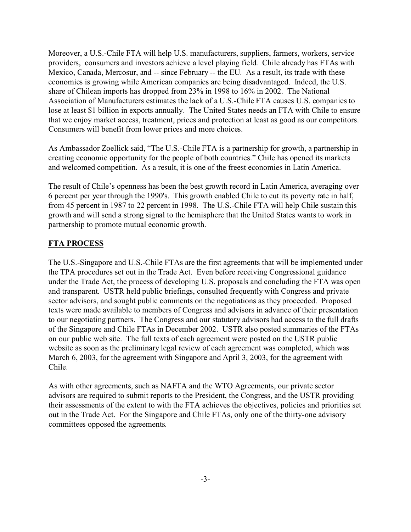Moreover, a U.S.-Chile FTA will help U.S. manufacturers, suppliers, farmers, workers, service providers, consumers and investors achieve a level playing field. Chile already has FTAs with Mexico, Canada, Mercosur, and -- since February -- the EU. As a result, its trade with these economies is growing while American companies are being disadvantaged. Indeed, the U.S. share of Chilean imports has dropped from 23% in 1998 to 16% in 2002. The National Association of Manufacturers estimates the lack of a U.S.-Chile FTA causes U.S. companies to lose at least \$1 billion in exports annually. The United States needs an FTA with Chile to ensure that we enjoy market access, treatment, prices and protection at least as good as our competitors. Consumers will benefit from lower prices and more choices.

As Ambassador Zoellick said, "The U.S.-Chile FTA is a partnership for growth, a partnership in creating economic opportunity for the people of both countries." Chile has opened its markets and welcomed competition. As a result, it is one of the freest economies in Latin America.

The result of Chile's openness has been the best growth record in Latin America, averaging over 6 percent per year through the 1990's. This growth enabled Chile to cut its poverty rate in half, from 45 percent in 1987 to 22 percent in 1998. The U.S.-Chile FTA will help Chile sustain this growth and will send a strong signal to the hemisphere that the United States wants to work in partnership to promote mutual economic growth.

# **FTA PROCESS**

The U.S.-Singapore and U.S.-Chile FTAs are the first agreements that will be implemented under the TPA procedures set out in the Trade Act. Even before receiving Congressional guidance under the Trade Act, the process of developing U.S. proposals and concluding the FTA was open and transparent. USTR held public briefings, consulted frequently with Congress and private sector advisors, and sought public comments on the negotiations as they proceeded. Proposed texts were made available to members of Congress and advisors in advance of their presentation to our negotiating partners. The Congress and our statutory advisors had access to the full drafts of the Singapore and Chile FTAs in December 2002. USTR also posted summaries of the FTAs on our public web site. The full texts of each agreement were posted on the USTR public website as soon as the preliminary legal review of each agreement was completed, which was March 6, 2003, for the agreement with Singapore and April 3, 2003, for the agreement with Chile.

As with other agreements, such as NAFTA and the WTO Agreements, our private sector advisors are required to submit reports to the President, the Congress, and the USTR providing their assessments of the extent to with the FTA achieves the objectives, policies and priorities set out in the Trade Act. For the Singapore and Chile FTAs, only one of the thirty-one advisory committees opposed the agreements.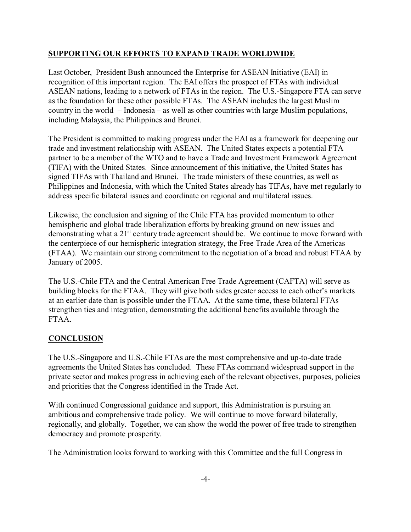# **SUPPORTING OUR EFFORTS TO EXPAND TRADE WORLDWIDE**

Last October, President Bush announced the Enterprise for ASEAN Initiative (EAI) in recognition of this important region. The EAI offers the prospect of FTAs with individual ASEAN nations, leading to a network of FTAs in the region. The U.S.-Singapore FTA can serve as the foundation for these other possible FTAs. The ASEAN includes the largest Muslim country in the world – Indonesia – as well as other countries with large Muslim populations, including Malaysia, the Philippines and Brunei.

The President is committed to making progress under the EAI as a framework for deepening our trade and investment relationship with ASEAN. The United States expects a potential FTA partner to be a member of the WTO and to have a Trade and Investment Framework Agreement (TIFA) with the United States. Since announcement of this initiative, the United States has signed TIFAs with Thailand and Brunei. The trade ministers of these countries, as well as Philippines and Indonesia, with which the United States already has TIFAs, have met regularly to address specific bilateral issues and coordinate on regional and multilateral issues.

Likewise, the conclusion and signing of the Chile FTA has provided momentum to other hemispheric and global trade liberalization efforts by breaking ground on new issues and demonstrating what a  $21^{st}$  century trade agreement should be. We continue to move forward with the centerpiece of our hemispheric integration strategy, the Free Trade Area of the Americas (FTAA). We maintain our strong commitment to the negotiation of a broad and robust FTAA by January of 2005.

The U.S.-Chile FTA and the Central American Free Trade Agreement (CAFTA) will serve as building blocks for the FTAA. They will give both sides greater access to each other's markets at an earlier date than is possible under the FTAA. At the same time, these bilateral FTAs strengthen ties and integration, demonstrating the additional benefits available through the FTAA.

# **CONCLUSION**

The U.S.-Singapore and U.S.-Chile FTAs are the most comprehensive and up-to-date trade agreements the United States has concluded. These FTAs command widespread support in the private sector and makes progress in achieving each of the relevant objectives, purposes, policies and priorities that the Congress identified in the Trade Act.

With continued Congressional guidance and support, this Administration is pursuing an ambitious and comprehensive trade policy. We will continue to move forward bilaterally, regionally, and globally. Together, we can show the world the power of free trade to strengthen democracy and promote prosperity.

The Administration looks forward to working with this Committee and the full Congress in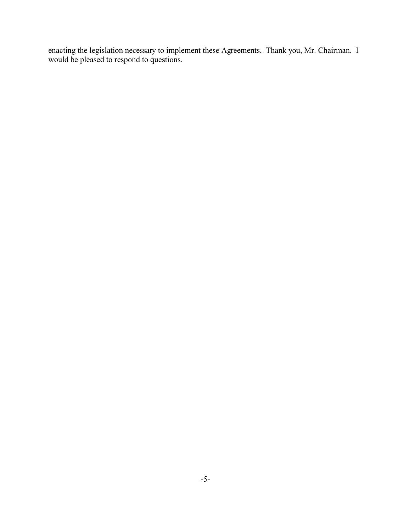enacting the legislation necessary to implement these Agreements. Thank you, Mr. Chairman. I would be pleased to respond to questions.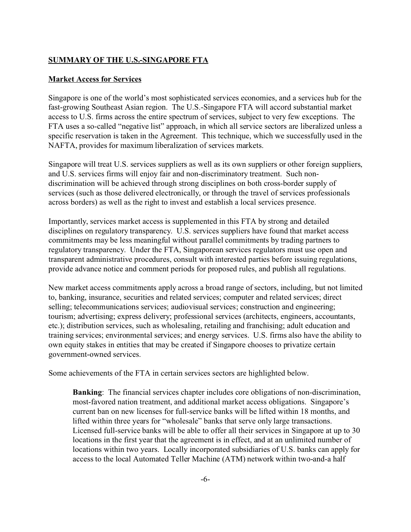#### **SUMMARY OF THE U.S.-SINGAPORE FTA**

#### **Market Access for Services**

Singapore is one of the world's most sophisticated services economies, and a services hub for the fast-growing Southeast Asian region. The U.S.-Singapore FTA will accord substantial market access to U.S. firms across the entire spectrum of services, subject to very few exceptions. The FTA uses a so-called "negative list" approach, in which all service sectors are liberalized unless a specific reservation is taken in the Agreement. This technique, which we successfully used in the NAFTA, provides for maximum liberalization of services markets.

Singapore will treat U.S. services suppliers as well as its own suppliers or other foreign suppliers, and U.S. services firms will enjoy fair and non-discriminatory treatment. Such nondiscrimination will be achieved through strong disciplines on both cross-border supply of services (such as those delivered electronically, or through the travel of services professionals across borders) as well as the right to invest and establish a local services presence.

Importantly, services market access is supplemented in this FTA by strong and detailed disciplines on regulatory transparency. U.S. services suppliers have found that market access commitments may be less meaningful without parallel commitments by trading partners to regulatory transparency. Under the FTA, Singaporean services regulators must use open and transparent administrative procedures, consult with interested parties before issuing regulations, provide advance notice and comment periods for proposed rules, and publish all regulations.

New market access commitments apply across a broad range of sectors, including, but not limited to, banking, insurance, securities and related services; computer and related services; direct selling; telecommunications services; audiovisual services; construction and engineering; tourism; advertising; express delivery; professional services (architects, engineers, accountants, etc.); distribution services, such as wholesaling, retailing and franchising; adult education and training services; environmental services; and energy services. U.S. firms also have the ability to own equity stakes in entities that may be created if Singapore chooses to privatize certain government-owned services.

Some achievements of the FTA in certain services sectors are highlighted below.

**Banking**: The financial services chapter includes core obligations of non-discrimination, most-favored nation treatment, and additional market access obligations. Singapore's current ban on new licenses for full-service banks will be lifted within 18 months, and lifted within three years for "wholesale" banks that serve only large transactions. Licensed full-service banks will be able to offer all their services in Singapore at up to 30 locations in the first year that the agreement is in effect, and at an unlimited number of locations within two years. Locally incorporated subsidiaries of U.S. banks can apply for access to the local Automated Teller Machine (ATM) network within two-and-a half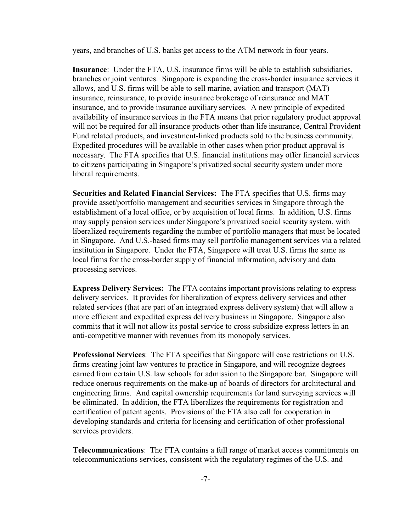years, and branches of U.S. banks get access to the ATM network in four years.

**Insurance**: Under the FTA, U.S. insurance firms will be able to establish subsidiaries, branches or joint ventures. Singapore is expanding the cross-border insurance services it allows, and U.S. firms will be able to sell marine, aviation and transport (MAT) insurance, reinsurance, to provide insurance brokerage of reinsurance and MAT insurance, and to provide insurance auxiliary services. A new principle of expedited availability of insurance services in the FTA means that prior regulatory product approval will not be required for all insurance products other than life insurance, Central Provident Fund related products, and investment-linked products sold to the business community. Expedited procedures will be available in other cases when prior product approval is necessary. The FTA specifies that U.S. financial institutions may offer financial services to citizens participating in Singapore's privatized social security system under more liberal requirements.

**Securities and Related Financial Services:** The FTA specifies that U.S. firms may provide asset/portfolio management and securities services in Singapore through the establishment of a local office, or by acquisition of local firms. In addition, U.S. firms may supply pension services under Singapore's privatized social security system, with liberalized requirements regarding the number of portfolio managers that must be located in Singapore. And U.S.-based firms may sell portfolio management services via a related institution in Singapore. Under the FTA, Singapore will treat U.S. firms the same as local firms for the cross-border supply of financial information, advisory and data processing services.

**Express Delivery Services:** The FTA contains important provisions relating to express delivery services. It provides for liberalization of express delivery services and other related services (that are part of an integrated express delivery system) that will allow a more efficient and expedited express delivery business in Singapore. Singapore also commits that it will not allow its postal service to cross-subsidize express letters in an anti-competitive manner with revenues from its monopoly services.

**Professional Services**: The FTA specifies that Singapore will ease restrictions on U.S. firms creating joint law ventures to practice in Singapore, and will recognize degrees earned from certain U.S. law schools for admission to the Singapore bar. Singapore will reduce onerous requirements on the make-up of boards of directors for architectural and engineering firms. And capital ownership requirements for land surveying services will be eliminated. In addition, the FTA liberalizes the requirements for registration and certification of patent agents. Provisions of the FTA also call for cooperation in developing standards and criteria for licensing and certification of other professional services providers.

**Telecommunications**: The FTA contains a full range of market access commitments on telecommunications services, consistent with the regulatory regimes of the U.S. and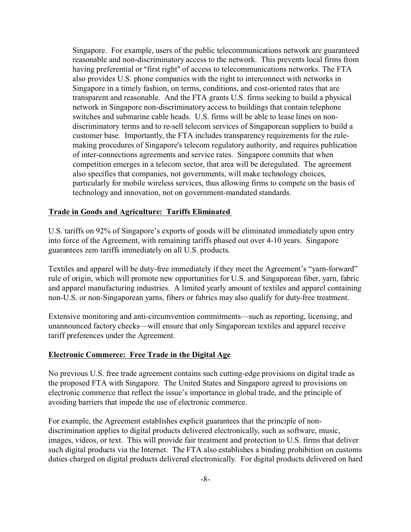Singapore. For example, users of the public telecommunications network are guaranteed reasonable and non-discriminatory access to the network. This prevents local firms from having preferential or "first right" of access to telecommunications networks. The FTA also provides U.S. phone companies with the right to interconnect with networks in Singapore in a timely fashion, on terms, conditions, and cost-oriented rates that are transparent and reasonable. And the FTA grants U.S. firms seeking to build a physical network in Singapore non-discriminatory access to buildings that contain telephone switches and submarine cable heads. U.S. firms will be able to lease lines on nondiscriminatory terms and to re-sell telecom services of Singaporean suppliers to build a customer base. Importantly, the FTA includes transparency requirements for the rulemaking procedures of Singapore's telecom regulatory authority, and requires publication of inter-connections agreements and service rates. Singapore commits that when competition emerges in a telecom sector, that area will be deregulated. The agreement also specifies that companies, not governments, will make technology choices, particularly for mobile wireless services, thus allowing firms to compete on the basis of technology and innovation, not on government-mandated standards.

#### **Trade in Goods and Agriculture: Tariffs Eliminated**

U.S. tariffs on 92% of Singapore's exports of goods will be eliminated immediately upon entry into force of the Agreement, with remaining tariffs phased out over 4-10 years. Singapore guarantees zero tariffs immediately on all U.S. products.

Textiles and apparel will be duty-free immediately if they meet the Agreement's "yarn-forward" rule of origin, which will promote new opportunities for U.S. and Singaporean fiber, yarn, fabric and apparel manufacturing industries. A limited yearly amount of textiles and apparel containing non-U.S. or non-Singaporean yarns, fibers or fabrics may also qualify for duty-free treatment.

Extensive monitoring and anti-circumvention commitments—such as reporting, licensing, and unannounced factory checks—will ensure that only Singaporean textiles and apparel receive tariff preferences under the Agreement.

#### **Electronic Commerce: Free Trade in the Digital Age**

No previous U.S. free trade agreement contains such cutting-edge provisions on digital trade as the proposed FTA with Singapore. The United States and Singapore agreed to provisions on electronic commerce that reflect the issue's importance in global trade, and the principle of avoiding barriers that impede the use of electronic commerce.

For example, the Agreement establishes explicit guarantees that the principle of nondiscrimination applies to digital products delivered electronically, such as software, music, images, videos, or text. This will provide fair treatment and protection to U.S. firms that deliver such digital products via the Internet. The FTA also establishes a binding prohibition on customs duties charged on digital products delivered electronically. For digital products delivered on hard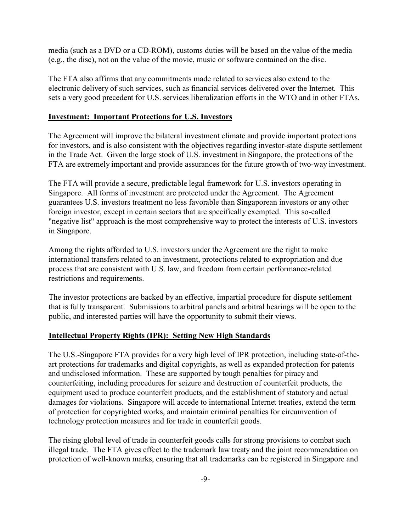media (such as a DVD or a CD-ROM), customs duties will be based on the value of the media (e.g., the disc), not on the value of the movie, music or software contained on the disc.

The FTA also affirms that any commitments made related to services also extend to the electronic delivery of such services, such as financial services delivered over the Internet. This sets a very good precedent for U.S. services liberalization efforts in the WTO and in other FTAs.

#### **Investment: Important Protections for U.S. Investors**

The Agreement will improve the bilateral investment climate and provide important protections for investors, and is also consistent with the objectives regarding investor-state dispute settlement in the Trade Act. Given the large stock of U.S. investment in Singapore, the protections of the FTA are extremely important and provide assurances for the future growth of two-way investment.

The FTA will provide a secure, predictable legal framework for U.S. investors operating in Singapore. All forms of investment are protected under the Agreement. The Agreement guarantees U.S. investors treatment no less favorable than Singaporean investors or any other foreign investor, except in certain sectors that are specifically exempted. This so-called "negative list" approach is the most comprehensive way to protect the interests of U.S. investors in Singapore.

Among the rights afforded to U.S. investors under the Agreement are the right to make international transfers related to an investment, protections related to expropriation and due process that are consistent with U.S. law, and freedom from certain performance-related restrictions and requirements.

The investor protections are backed by an effective, impartial procedure for dispute settlement that is fully transparent. Submissions to arbitral panels and arbitral hearings will be open to the public, and interested parties will have the opportunity to submit their views.

# **Intellectual Property Rights (IPR): Setting New High Standards**

The U.S.-Singapore FTA provides for a very high level of IPR protection, including state-of-theart protections for trademarks and digital copyrights, as well as expanded protection for patents and undisclosed information. These are supported by tough penalties for piracy and counterfeiting, including procedures for seizure and destruction of counterfeit products, the equipment used to produce counterfeit products, and the establishment of statutory and actual damages for violations. Singapore will accede to international Internet treaties, extend the term of protection for copyrighted works, and maintain criminal penalties for circumvention of technology protection measures and for trade in counterfeit goods.

The rising global level of trade in counterfeit goods calls for strong provisions to combat such illegal trade. The FTA gives effect to the trademark law treaty and the joint recommendation on protection of well-known marks, ensuring that all trademarks can be registered in Singapore and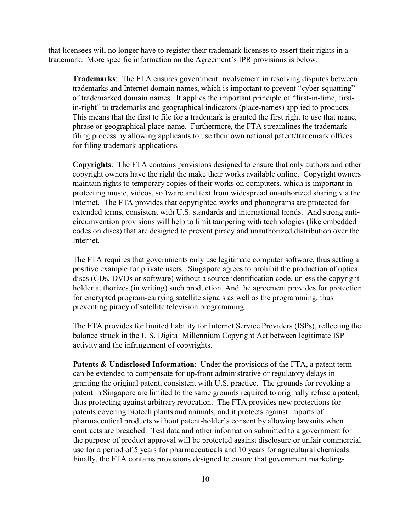that licensees will no longer have to register their trademark licenses to assert their rights in a trademark. More specific information on the Agreement's IPR provisions is below.

**Trademarks**: The FTA ensures government involvement in resolving disputes between trademarks and Internet domain names, which is important to prevent "cyber-squatting" of trademarked domain names. It applies the important principle of "first-in-time, firstin-right" to trademarks and geographical indicators (place-names) applied to products. This means that the first to file for a trademark is granted the first right to use that name, phrase or geographical place-name. Furthermore, the FTA streamlines the trademark filing process by allowing applicants to use their own national patent/trademark offices for filing trademark applications.

**Copyrights**: The FTA contains provisions designed to ensure that only authors and other copyright owners have the right the make their works available online. Copyright owners maintain rights to temporary copies of their works on computers, which is important in protecting music, videos, software and text from widespread unauthorized sharing via the Internet. The FTA provides that copyrighted works and phonograms are protected for extended terms, consistent with U.S. standards and international trends. And strong anticircumvention provisions will help to limit tampering with technologies (like embedded codes on discs) that are designed to prevent piracy and unauthorized distribution over the Internet.

The FTA requires that governments only use legitimate computer software, thus setting a positive example for private users. Singapore agrees to prohibit the production of optical discs (CDs, DVDs or software) without a source identification code, unless the copyright holder authorizes (in writing) such production. And the agreement provides for protection for encrypted program-carrying satellite signals as well as the programming, thus preventing piracy of satellite television programming.

The FTA provides for limited liability for Internet Service Providers (ISPs), reflecting the balance struck in the U.S. Digital Millennium Copyright Act between legitimate ISP activity and the infringement of copyrights.

**Patents & Undisclosed Information**: Under the provisions of the FTA, a patent term can be extended to compensate for up-front administrative or regulatory delays in granting the original patent, consistent with U.S. practice. The grounds for revoking a patent in Singapore are limited to the same grounds required to originally refuse a patent, thus protecting against arbitrary revocation. The FTA provides new protections for patents covering biotech plants and animals, and it protects against imports of pharmaceutical products without patent-holder's consent by allowing lawsuits when contracts are breached. Test data and other information submitted to a government for the purpose of product approval will be protected against disclosure or unfair commercial use for a period of 5 years for pharmaceuticals and 10 years for agricultural chemicals. Finally, the FTA contains provisions designed to ensure that government marketing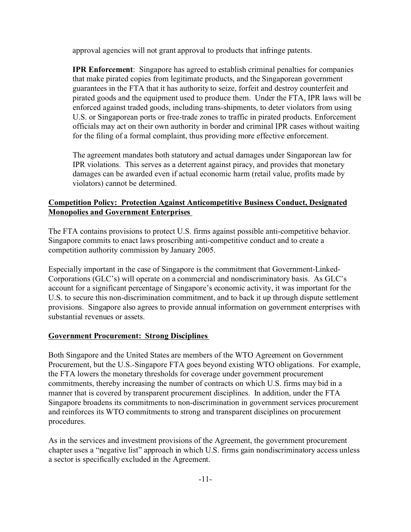approval agencies will not grant approval to products that infringe patents.

**IPR Enforcement**: Singapore has agreed to establish criminal penalties for companies that make pirated copies from legitimate products, and the Singaporean government guarantees in the FTA that it has authority to seize, forfeit and destroy counterfeit and pirated goods and the equipment used to produce them. Under the FTA, IPR laws will be enforced against traded goods, including trans-shipments, to deter violators from using U.S. or Singaporean ports or free-trade zones to traffic in pirated products. Enforcement officials may act on their own authority in border and criminal IPR cases without waiting for the filing of a formal complaint, thus providing more effective enforcement.

The agreement mandates both statutory and actual damages under Singaporean law for IPR violations. This serves as a deterrent against piracy, and provides that monetary damages can be awarded even if actual economic harm (retail value, profits made by violators) cannot be determined.

# **Competition Policy: Protection Against Anticompetitive Business Conduct, Designated Monopolies and Government Enterprises**

The FTA contains provisions to protect U.S. firms against possible anti-competitive behavior. Singapore commits to enact laws proscribing anti-competitive conduct and to create a competition authority commission by January 2005.

Especially important in the case of Singapore is the commitment that Government-Linked-Corporations (GLC's) will operate on a commercial and nondiscriminatory basis. As GLC's account for a significant percentage of Singapore's economic activity, it was important for the U.S. to secure this non-discrimination commitment, and to back it up through dispute settlement provisions. Singapore also agrees to provide annual information on government enterprises with substantial revenues or assets.

# **Government Procurement: Strong Disciplines**

Both Singapore and the United States are members of the WTO Agreement on Government Procurement, but the U.S.-Singapore FTA goes beyond existing WTO obligations. For example, the FTA lowers the monetary thresholds for coverage under government procurement commitments, thereby increasing the number of contracts on which U.S. firms may bid in a manner that is covered by transparent procurement disciplines. In addition, under the FTA Singapore broadens its commitments to non-discrimination in government services procurement and reinforces its WTO commitments to strong and transparent disciplines on procurement procedures.

As in the services and investment provisions of the Agreement, the government procurement chapter uses a "negative list" approach in which U.S. firms gain nondiscriminatory access unless a sector is specifically excluded in the Agreement.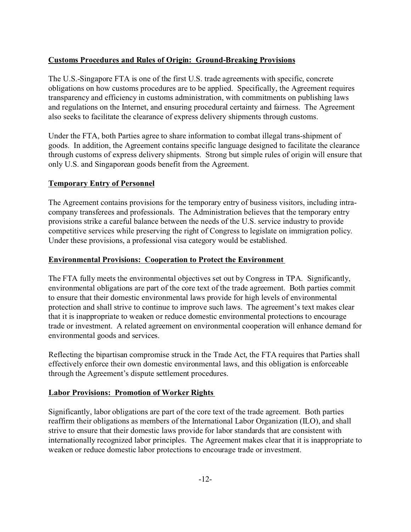# **Customs Procedures and Rules of Origin: Ground-Breaking Provisions**

The U.S.-Singapore FTA is one of the first U.S. trade agreements with specific, concrete obligations on how customs procedures are to be applied. Specifically, the Agreement requires transparency and efficiency in customs administration, with commitments on publishing laws and regulations on the Internet, and ensuring procedural certainty and fairness. The Agreement also seeks to facilitate the clearance of express delivery shipments through customs.

Under the FTA, both Parties agree to share information to combat illegal trans-shipment of goods. In addition, the Agreement contains specific language designed to facilitate the clearance through customs of express delivery shipments. Strong but simple rules of origin will ensure that only U.S. and Singaporean goods benefit from the Agreement.

# **Temporary Entry of Personnel**

The Agreement contains provisions for the temporary entry of business visitors, including intracompany transferees and professionals. The Administration believes that the temporary entry provisions strike a careful balance between the needs of the U.S. service industry to provide competitive services while preserving the right of Congress to legislate on immigration policy. Under these provisions, a professional visa category would be established.

# **Environmental Provisions: Cooperation to Protect the Environment**

The FTA fully meets the environmental objectives set out by Congress in TPA. Significantly, environmental obligations are part of the core text of the trade agreement. Both parties commit to ensure that their domestic environmental laws provide for high levels of environmental protection and shall strive to continue to improve such laws. The agreement's text makes clear that it is inappropriate to weaken or reduce domestic environmental protections to encourage trade or investment. A related agreement on environmental cooperation will enhance demand for environmental goods and services.

Reflecting the bipartisan compromise struck in the Trade Act, the FTA requires that Parties shall effectively enforce their own domestic environmental laws, and this obligation is enforceable through the Agreement's dispute settlement procedures.

#### **Labor Provisions: Promotion of Worker Rights**

Significantly, labor obligations are part of the core text of the trade agreement. Both parties reaffirm their obligations as members of the International Labor Organization (ILO), and shall strive to ensure that their domestic laws provide for labor standards that are consistent with internationally recognized labor principles. The Agreement makes clear that it is inappropriate to weaken or reduce domestic labor protections to encourage trade or investment.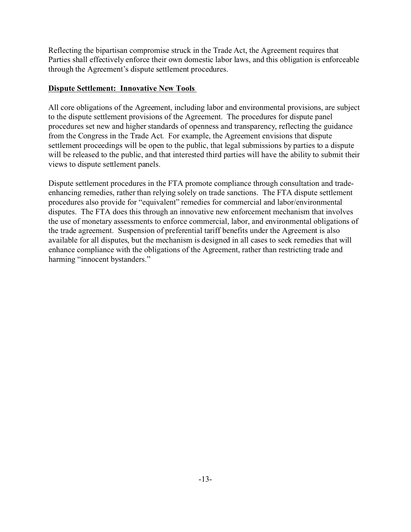Reflecting the bipartisan compromise struck in the Trade Act, the Agreement requires that Parties shall effectively enforce their own domestic labor laws, and this obligation is enforceable through the Agreement's dispute settlement procedures.

# **Dispute Settlement: Innovative New Tools**

All core obligations of the Agreement, including labor and environmental provisions, are subject to the dispute settlement provisions of the Agreement. The procedures for dispute panel procedures set new and higher standards of openness and transparency, reflecting the guidance from the Congress in the Trade Act. For example, the Agreement envisions that dispute settlement proceedings will be open to the public, that legal submissions by parties to a dispute will be released to the public, and that interested third parties will have the ability to submit their views to dispute settlement panels.

Dispute settlement procedures in the FTA promote compliance through consultation and tradeenhancing remedies, rather than relying solely on trade sanctions. The FTA dispute settlement procedures also provide for "equivalent" remedies for commercial and labor/environmental disputes. The FTA does this through an innovative new enforcement mechanism that involves the use of monetary assessments to enforce commercial, labor, and environmental obligations of the trade agreement. Suspension of preferential tariff benefits under the Agreement is also available for all disputes, but the mechanism is designed in all cases to seek remedies that will enhance compliance with the obligations of the Agreement, rather than restricting trade and harming "innocent bystanders."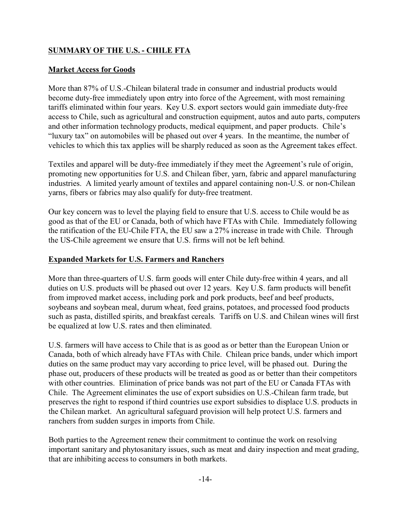# **SUMMARY OF THE U.S. - CHILE FTA**

#### **Market Access for Goods**

More than 87% of U.S.-Chilean bilateral trade in consumer and industrial products would become duty-free immediately upon entry into force of the Agreement, with most remaining tariffs eliminated within four years. Key U.S. export sectors would gain immediate duty-free access to Chile, such as agricultural and construction equipment, autos and auto parts, computers and other information technology products, medical equipment, and paper products. Chile's "luxury tax" on automobiles will be phased out over 4 years. In the meantime, the number of vehicles to which this tax applies will be sharply reduced as soon as the Agreement takes effect.

Textiles and apparel will be duty-free immediately if they meet the Agreement's rule of origin, promoting new opportunities for U.S. and Chilean fiber, yarn, fabric and apparel manufacturing industries. A limited yearly amount of textiles and apparel containing non-U.S. or non-Chilean yarns, fibers or fabrics may also qualify for duty-free treatment.

Our key concern was to level the playing field to ensure that U.S. access to Chile would be as good as that of the EU or Canada, both of which have FTAs with Chile. Immediately following the ratification of the EU-Chile FTA, the EU saw a 27% increase in trade with Chile. Through the US-Chile agreement we ensure that U.S. firms will not be left behind.

# **Expanded Markets for U.S. Farmers and Ranchers**

More than three-quarters of U.S. farm goods will enter Chile duty-free within 4 years, and all duties on U.S. products will be phased out over 12 years. Key U.S. farm products will benefit from improved market access, including pork and pork products, beef and beef products, soybeans and soybean meal, durum wheat, feed grains, potatoes, and processed food products such as pasta, distilled spirits, and breakfast cereals. Tariffs on U.S. and Chilean wines will first be equalized at low U.S. rates and then eliminated.

U.S. farmers will have access to Chile that is as good as or better than the European Union or Canada, both of which already have FTAs with Chile. Chilean price bands, under which import duties on the same product may vary according to price level, will be phased out. During the phase out, producers of these products will be treated as good as or better than their competitors with other countries. Elimination of price bands was not part of the EU or Canada FTAs with Chile. The Agreement eliminates the use of export subsidies on U.S.-Chilean farm trade, but preserves the right to respond if third countries use export subsidies to displace U.S. products in the Chilean market. An agricultural safeguard provision will help protect U.S. farmers and ranchers from sudden surges in imports from Chile.

Both parties to the Agreement renew their commitment to continue the work on resolving important sanitary and phytosanitary issues, such as meat and dairy inspection and meat grading, that are inhibiting access to consumers in both markets.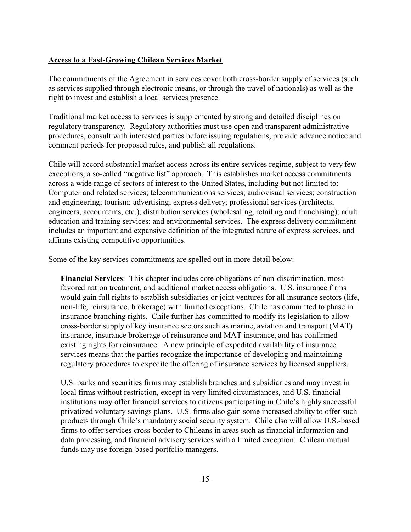# **Access to a Fast-Growing Chilean Services Market**

The commitments of the Agreement in services cover both cross-border supply of services (such as services supplied through electronic means, or through the travel of nationals) as well as the right to invest and establish a local services presence.

Traditional market access to services is supplemented by strong and detailed disciplines on regulatory transparency. Regulatory authorities must use open and transparent administrative procedures, consult with interested parties before issuing regulations, provide advance notice and comment periods for proposed rules, and publish all regulations.

Chile will accord substantial market access across its entire services regime, subject to very few exceptions, a so-called "negative list" approach. This establishes market access commitments across a wide range of sectors of interest to the United States, including but not limited to: Computer and related services; telecommunications services; audiovisual services; construction and engineering; tourism; advertising; express delivery; professional services (architects, engineers, accountants, etc.); distribution services (wholesaling, retailing and franchising); adult education and training services; and environmental services. The express delivery commitment includes an important and expansive definition of the integrated nature of express services, and affirms existing competitive opportunities.

Some of the key services commitments are spelled out in more detail below:

**Financial Services**: This chapter includes core obligations of non-discrimination, mostfavored nation treatment, and additional market access obligations. U.S. insurance firms would gain full rights to establish subsidiaries or joint ventures for all insurance sectors (life, non-life, reinsurance, brokerage) with limited exceptions. Chile has committed to phase in insurance branching rights. Chile further has committed to modify its legislation to allow cross-border supply of key insurance sectors such as marine, aviation and transport (MAT) insurance, insurance brokerage of reinsurance and MAT insurance, and has confirmed existing rights for reinsurance. A new principle of expedited availability of insurance services means that the parties recognize the importance of developing and maintaining regulatory procedures to expedite the offering of insurance services by licensed suppliers.

U.S. banks and securities firms may establish branches and subsidiaries and may invest in local firms without restriction, except in very limited circumstances, and U.S. financial institutions may offer financial services to citizens participating in Chile's highly successful privatized voluntary savings plans. U.S. firms also gain some increased ability to offer such products through Chile's mandatory social security system. Chile also will allow U.S.-based firms to offer services cross-border to Chileans in areas such as financial information and data processing, and financial advisory services with a limited exception. Chilean mutual funds may use foreign-based portfolio managers.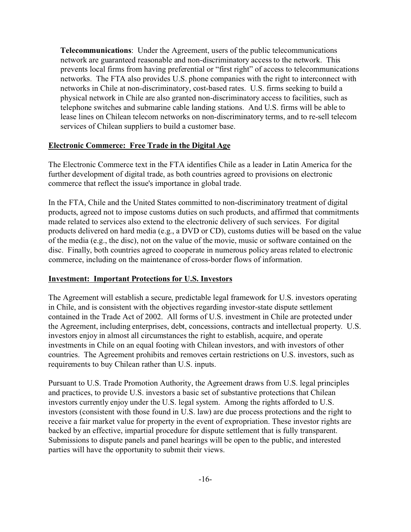**Telecommunications**: Under the Agreement, users of the public telecommunications network are guaranteed reasonable and non-discriminatory access to the network. This prevents local firms from having preferential or "first right" of access to telecommunications networks. The FTA also provides U.S. phone companies with the right to interconnect with networks in Chile at non-discriminatory, cost-based rates. U.S. firms seeking to build a physical network in Chile are also granted non-discriminatory access to facilities, such as telephone switches and submarine cable landing stations. And U.S. firms will be able to lease lines on Chilean telecom networks on non-discriminatory terms, and to re-sell telecom services of Chilean suppliers to build a customer base.

# **Electronic Commerce: Free Trade in the Digital Age**

The Electronic Commerce text in the FTA identifies Chile as a leader in Latin America for the further development of digital trade, as both countries agreed to provisions on electronic commerce that reflect the issue's importance in global trade.

In the FTA, Chile and the United States committed to non-discriminatory treatment of digital products, agreed not to impose customs duties on such products, and affirmed that commitments made related to services also extend to the electronic delivery of such services. For digital products delivered on hard media (e.g., a DVD or CD), customs duties will be based on the value of the media (e.g., the disc), not on the value of the movie, music or software contained on the disc. Finally, both countries agreed to cooperate in numerous policy areas related to electronic commerce, including on the maintenance of cross-border flows of information.

#### **Investment: Important Protections for U.S. Investors**

The Agreement will establish a secure, predictable legal framework for U.S. investors operating in Chile, and is consistent with the objectives regarding investor-state dispute settlement contained in the Trade Act of 2002. All forms of U.S. investment in Chile are protected under the Agreement, including enterprises, debt, concessions, contracts and intellectual property. U.S. investors enjoy in almost all circumstances the right to establish, acquire, and operate investments in Chile on an equal footing with Chilean investors, and with investors of other countries. The Agreement prohibits and removes certain restrictions on U.S. investors, such as requirements to buy Chilean rather than U.S. inputs.

Pursuant to U.S. Trade Promotion Authority, the Agreement draws from U.S. legal principles and practices, to provide U.S. investors a basic set of substantive protections that Chilean investors currently enjoy under the U.S. legal system. Among the rights afforded to U.S. investors (consistent with those found in U.S. law) are due process protections and the right to receive a fair market value for property in the event of expropriation. These investor rights are backed by an effective, impartial procedure for dispute settlement that is fully transparent. Submissions to dispute panels and panel hearings will be open to the public, and interested parties will have the opportunity to submit their views.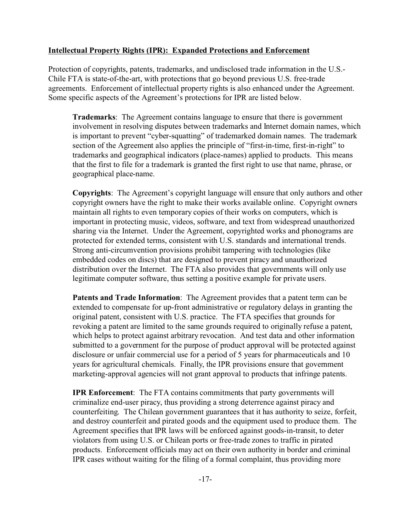#### **Intellectual Property Rights (IPR): Expanded Protections and Enforcement**

Protection of copyrights, patents, trademarks, and undisclosed trade information in the U.S.- Chile FTA is state-of-the-art, with protections that go beyond previous U.S. free-trade agreements. Enforcement of intellectual property rights is also enhanced under the Agreement. Some specific aspects of the Agreement's protections for IPR are listed below.

**Trademarks**: The Agreement contains language to ensure that there is government involvement in resolving disputes between trademarks and Internet domain names, which is important to prevent "cyber-squatting" of trademarked domain names. The trademark section of the Agreement also applies the principle of "first-in-time, first-in-right" to trademarks and geographical indicators (place-names) applied to products. This means that the first to file for a trademark is granted the first right to use that name, phrase, or geographical place-name.

**Copyrights**: The Agreement's copyright language will ensure that only authors and other copyright owners have the right to make their works available online. Copyright owners maintain all rights to even temporary copies of their works on computers, which is important in protecting music, videos, software, and text from widespread unauthorized sharing via the Internet. Under the Agreement, copyrighted works and phonograms are protected for extended terms, consistent with U.S. standards and international trends. Strong anti-circumvention provisions prohibit tampering with technologies (like embedded codes on discs) that are designed to prevent piracy and unauthorized distribution over the Internet. The FTA also provides that governments will only use legitimate computer software, thus setting a positive example for private users.

**Patents and Trade Information**: The Agreement provides that a patent term can be extended to compensate for up-front administrative or regulatory delays in granting the original patent, consistent with U.S. practice. The FTA specifies that grounds for revoking a patent are limited to the same grounds required to originally refuse a patent, which helps to protect against arbitrary revocation. And test data and other information submitted to a government for the purpose of product approval will be protected against disclosure or unfair commercial use for a period of 5 years for pharmaceuticals and 10 years for agricultural chemicals. Finally, the IPR provisions ensure that government marketing-approval agencies will not grant approval to products that infringe patents.

**IPR Enforcement:** The FTA contains commitments that party governments will criminalize end-user piracy, thus providing a strong deterrence against piracy and counterfeiting. The Chilean government guarantees that it has authority to seize, forfeit, and destroy counterfeit and pirated goods and the equipment used to produce them. The Agreement specifies that IPR laws will be enforced against goods-in-transit, to deter violators from using U.S. or Chilean ports or free-trade zones to traffic in pirated products. Enforcement officials may act on their own authority in border and criminal IPR cases without waiting for the filing of a formal complaint, thus providing more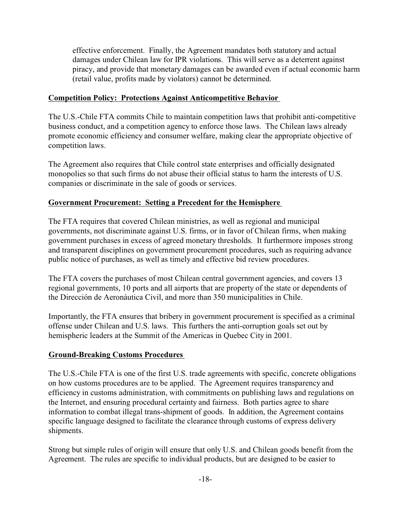effective enforcement. Finally, the Agreement mandates both statutory and actual damages under Chilean law for IPR violations. This will serve as a deterrent against piracy, and provide that monetary damages can be awarded even if actual economic harm (retail value, profits made by violators) cannot be determined.

# **Competition Policy: Protections Against Anticompetitive Behavior**

The U.S.-Chile FTA commits Chile to maintain competition laws that prohibit anti-competitive business conduct, and a competition agency to enforce those laws. The Chilean laws already promote economic efficiency and consumer welfare, making clear the appropriate objective of competition laws.

The Agreement also requires that Chile control state enterprises and officially designated monopolies so that such firms do not abuse their official status to harm the interests of U.S. companies or discriminate in the sale of goods or services.

# **Government Procurement: Setting a Precedent for the Hemisphere**

The FTA requires that covered Chilean ministries, as well as regional and municipal governments, not discriminate against U.S. firms, or in favor of Chilean firms, when making government purchases in excess of agreed monetary thresholds. It furthermore imposes strong and transparent disciplines on government procurement procedures, such as requiring advance public notice of purchases, as well as timely and effective bid review procedures.

The FTA covers the purchases of most Chilean central government agencies, and covers 13 regional governments, 10 ports and all airports that are property of the state or dependents of the Dirección de Aeronáutica Civil, and more than 350 municipalities in Chile.

Importantly, the FTA ensures that bribery in government procurement is specified as a criminal offense under Chilean and U.S. laws. This furthers the anti-corruption goals set out by hemispheric leaders at the Summit of the Americas in Quebec City in 2001.

# **Ground-Breaking Customs Procedures**

The U.S.-Chile FTA is one of the first U.S. trade agreements with specific, concrete obligations on how customs procedures are to be applied. The Agreement requires transparency and efficiency in customs administration, with commitments on publishing laws and regulations on the Internet, and ensuring procedural certainty and fairness. Both parties agree to share information to combat illegal trans-shipment of goods. In addition, the Agreement contains specific language designed to facilitate the clearance through customs of express delivery shipments.

Strong but simple rules of origin will ensure that only U.S. and Chilean goods benefit from the Agreement. The rules are specific to individual products, but are designed to be easier to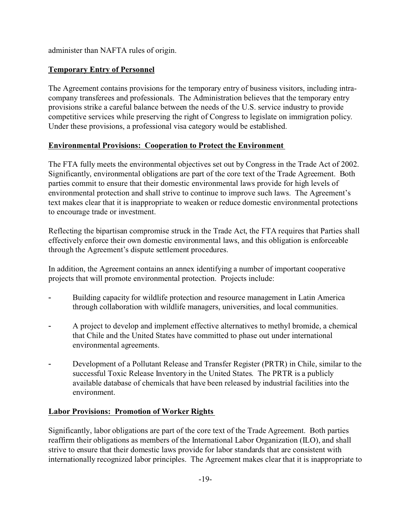administer than NAFTA rules of origin.

# **Temporary Entry of Personnel**

The Agreement contains provisions for the temporary entry of business visitors, including intracompany transferees and professionals. The Administration believes that the temporary entry provisions strike a careful balance between the needs of the U.S. service industry to provide competitive services while preserving the right of Congress to legislate on immigration policy. Under these provisions, a professional visa category would be established.

# **Environmental Provisions: Cooperation to Protect the Environment**

The FTA fully meets the environmental objectives set out by Congress in the Trade Act of 2002. Significantly, environmental obligations are part of the core text of the Trade Agreement. Both parties commit to ensure that their domestic environmental laws provide for high levels of environmental protection and shall strive to continue to improve such laws. The Agreement's text makes clear that it is inappropriate to weaken or reduce domestic environmental protections to encourage trade or investment.

Reflecting the bipartisan compromise struck in the Trade Act, the FTA requires that Parties shall effectively enforce their own domestic environmental laws, and this obligation is enforceable through the Agreement's dispute settlement procedures.

In addition, the Agreement contains an annex identifying a number of important cooperative projects that will promote environmental protection. Projects include:

- Building capacity for wildlife protection and resource management in Latin America through collaboration with wildlife managers, universities, and local communities.
- A project to develop and implement effective alternatives to methyl bromide, a chemical that Chile and the United States have committed to phase out under international environmental agreements.
- Development of a Pollutant Release and Transfer Register (PRTR) in Chile, similar to the successful Toxic Release Inventory in the United States. The PRTR is a publicly available database of chemicals that have been released by industrial facilities into the environment.

# **Labor Provisions: Promotion of Worker Rights**

Significantly, labor obligations are part of the core text of the Trade Agreement. Both parties reaffirm their obligations as members of the International Labor Organization (ILO), and shall strive to ensure that their domestic laws provide for labor standards that are consistent with internationally recognized labor principles. The Agreement makes clear that it is inappropriate to